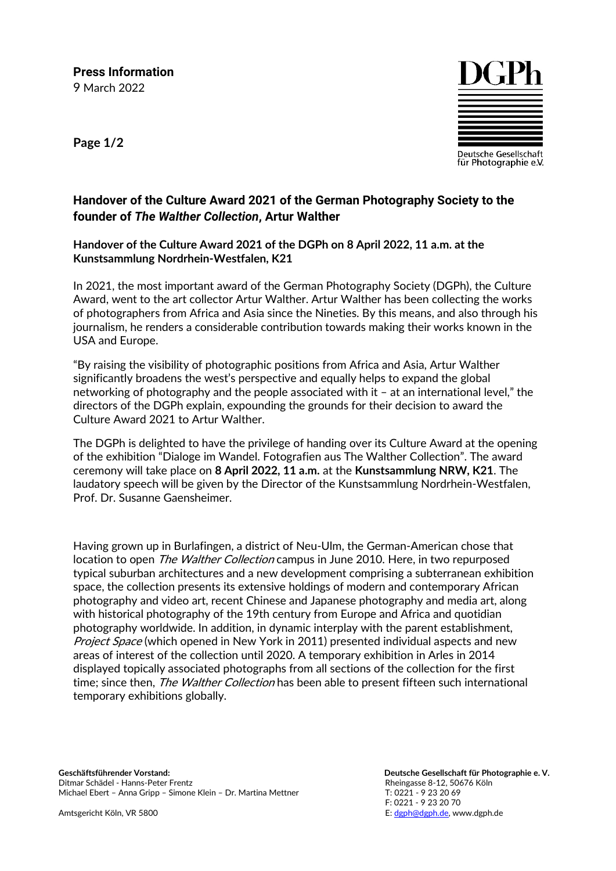**Press Information** 9 March 2022

**Page 1/2**



## **Handover of the Culture Award 2021 of the German Photography Society to the founder of** *The Walther Collection***, Artur Walther**

## **Handover of the Culture Award 2021 of the DGPh on 8 April 2022, 11 a.m. at the Kunstsammlung Nordrhein-Westfalen, K21**

In 2021, the most important award of the German Photography Society (DGPh), the Culture Award, went to the art collector Artur Walther. Artur Walther has been collecting the works of photographers from Africa and Asia since the Nineties. By this means, and also through his journalism, he renders a considerable contribution towards making their works known in the USA and Europe.

"By raising the visibility of photographic positions from Africa and Asia, Artur Walther significantly broadens the west's perspective and equally helps to expand the global networking of photography and the people associated with it – at an international level," the directors of the DGPh explain, expounding the grounds for their decision to award the Culture Award 2021 to Artur Walther.

The DGPh is delighted to have the privilege of handing over its Culture Award at the opening of the exhibition "Dialoge im Wandel. Fotografien aus The Walther Collection". The award ceremony will take place on **8 April 2022, 11 a.m.** at the **Kunstsammlung NRW, K21**. The laudatory speech will be given by the Director of the Kunstsammlung Nordrhein-Westfalen, Prof. Dr. Susanne Gaensheimer.

Having grown up in Burlafingen, a district of Neu-Ulm, the German-American chose that location to open *The Walther Collection* campus in June 2010. Here, in two repurposed typical suburban architectures and a new development comprising a subterranean exhibition space, the collection presents its extensive holdings of modern and contemporary African photography and video art, recent Chinese and Japanese photography and media art, along with historical photography of the 19th century from Europe and Africa and quotidian photography worldwide. In addition, in dynamic interplay with the parent establishment, Project Space (which opened in New York in 2011) presented individual aspects and new areas of interest of the collection until 2020. A temporary exhibition in Arles in 2014 displayed topically associated photographs from all sections of the collection for the first time; since then, The Walther Collection has been able to present fifteen such international temporary exhibitions globally.

**Geschäftsführender Vorstand:** Ditmar Schädel - Hanns-Peter Frentz Michael Ebert – Anna Gripp – Simone Klein – Dr. Martina Mettner

Amtsgericht Köln, VR 5800

 **Deutsche Gesellschaft für Photographie e. V.** Rheingasse 8-12, 50676 Köln T: 0221 - 9 23 20 69 F: 0221 - 9 23 20 70 E[: dgph@dgph.de,](mailto:dgph@dgph.de) www.dgph.de